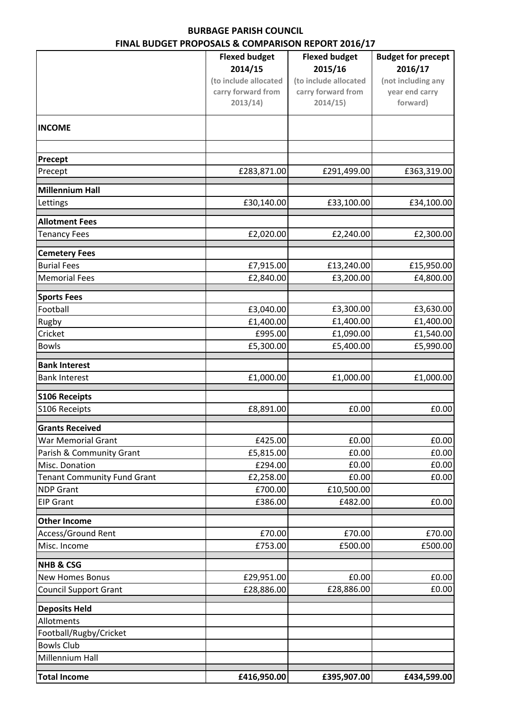## **BURBAGE PARISH COUNCIL FINAL BUDGET PROPOSALS & COMPARISON REPORT 2016/17**

|                                    | <u>UDULI I INDI UJALJ &amp; CONII AMJUN INLI UNI ZUIU/I7</u> |                                 |                                      |
|------------------------------------|--------------------------------------------------------------|---------------------------------|--------------------------------------|
|                                    | <b>Flexed budget</b><br>2014/15                              | <b>Flexed budget</b><br>2015/16 | <b>Budget for precept</b><br>2016/17 |
|                                    | (to include allocated                                        | (to include allocated           | (not including any                   |
|                                    | carry forward from                                           | carry forward from              | year end carry                       |
|                                    | 2013/14)                                                     | 2014/15)                        | forward)                             |
| <b>INCOME</b>                      |                                                              |                                 |                                      |
| Precept                            |                                                              |                                 |                                      |
| Precept                            | £283,871.00                                                  | £291,499.00                     | £363,319.00                          |
| Millennium Hall                    |                                                              |                                 |                                      |
| Lettings                           | £30,140.00                                                   | £33,100.00                      | £34,100.00                           |
| <b>Allotment Fees</b>              |                                                              |                                 |                                      |
| <b>Tenancy Fees</b>                | £2,020.00                                                    | £2,240.00                       | £2,300.00                            |
| <b>Cemetery Fees</b>               |                                                              |                                 |                                      |
| <b>Burial Fees</b>                 | £7,915.00                                                    | £13,240.00                      | £15,950.00                           |
| <b>Memorial Fees</b>               | £2,840.00                                                    | £3,200.00                       | £4,800.00                            |
| <b>Sports Fees</b>                 |                                                              |                                 |                                      |
| Football                           | £3,040.00                                                    | £3,300.00                       | £3,630.00                            |
| Rugby                              | £1,400.00                                                    | £1,400.00                       | £1,400.00                            |
| Cricket                            | £995.00                                                      | £1,090.00                       | £1,540.00                            |
| <b>Bowls</b>                       | £5,300.00                                                    | £5,400.00                       | £5,990.00                            |
| <b>Bank Interest</b>               |                                                              |                                 |                                      |
| <b>Bank Interest</b>               | £1,000.00                                                    | £1,000.00                       | £1,000.00                            |
| <b>S106 Receipts</b>               |                                                              |                                 |                                      |
| S106 Receipts                      | £8,891.00                                                    | £0.00                           | £0.00                                |
| <b>Grants Received</b>             |                                                              |                                 |                                      |
| <b>War Memorial Grant</b>          | £425.00                                                      | £0.00                           | £0.00                                |
| Parish & Community Grant           | £5,815.00                                                    | £0.00                           | £0.00                                |
| Misc. Donation                     | £294.00                                                      | £0.00                           | £0.00                                |
| <b>Tenant Community Fund Grant</b> | £2,258.00                                                    | £0.00                           | £0.00                                |
| <b>NDP Grant</b>                   | £700.00                                                      | £10,500.00                      |                                      |
| <b>EIP Grant</b>                   | £386.00                                                      | £482.00                         | £0.00                                |
| <b>Other Income</b>                |                                                              |                                 |                                      |
| <b>Access/Ground Rent</b>          | £70.00                                                       | £70.00                          | £70.00                               |
| Misc. Income                       | £753.00                                                      | £500.00                         | £500.00                              |
| <b>NHB &amp; CSG</b>               |                                                              |                                 |                                      |
| <b>New Homes Bonus</b>             | £29,951.00                                                   | £0.00                           | £0.00                                |
| <b>Council Support Grant</b>       | £28,886.00                                                   | £28,886.00                      | £0.00                                |
| <b>Deposits Held</b>               |                                                              |                                 |                                      |
| Allotments                         |                                                              |                                 |                                      |
| Football/Rugby/Cricket             |                                                              |                                 |                                      |
| <b>Bowls Club</b>                  |                                                              |                                 |                                      |
| Millennium Hall                    |                                                              |                                 |                                      |
| <b>Total Income</b>                | £416,950.00                                                  | £395,907.00                     | £434,599.00                          |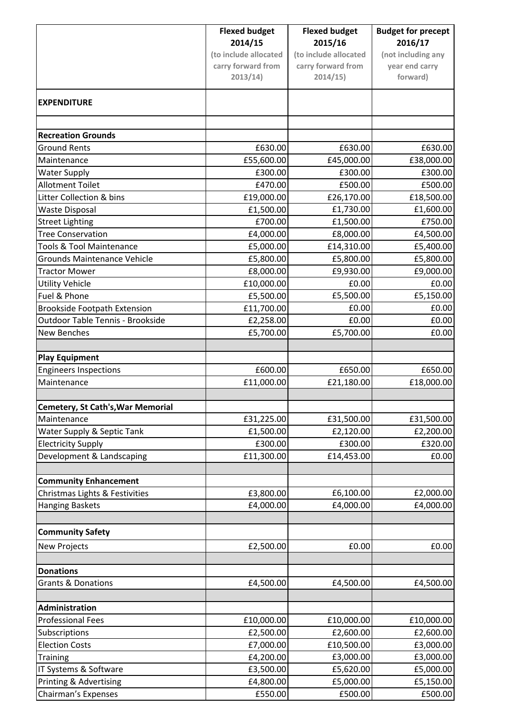|                                          | <b>Flexed budget</b>  | <b>Flexed budget</b>  | <b>Budget for precept</b> |
|------------------------------------------|-----------------------|-----------------------|---------------------------|
|                                          | 2014/15               | 2015/16               | 2016/17                   |
|                                          | (to include allocated | (to include allocated | (not including any        |
|                                          | carry forward from    | carry forward from    | year end carry            |
|                                          | 2013/14)              | 2014/15               | forward)                  |
| <b>EXPENDITURE</b>                       |                       |                       |                           |
|                                          |                       |                       |                           |
| <b>Recreation Grounds</b>                |                       |                       |                           |
| <b>Ground Rents</b>                      | £630.00               | £630.00               | £630.00                   |
| Maintenance                              | £55,600.00            | £45,000.00            | £38,000.00                |
| <b>Water Supply</b>                      | £300.00               | £300.00               | £300.00                   |
| <b>Allotment Toilet</b>                  | £470.00               | £500.00               | £500.00                   |
| Litter Collection & bins                 | £19,000.00            | £26,170.00            | £18,500.00                |
| <b>Waste Disposal</b>                    | £1,500.00             | £1,730.00             | £1,600.00                 |
| <b>Street Lighting</b>                   | £700.00               | £1,500.00             | £750.00                   |
| <b>Tree Conservation</b>                 | £4,000.00             | £8,000.00             | £4,500.00                 |
| <b>Tools &amp; Tool Maintenance</b>      | £5,000.00             | £14,310.00            | £5,400.00                 |
| <b>Grounds Maintenance Vehicle</b>       | £5,800.00             | £5,800.00             | £5,800.00                 |
| <b>Tractor Mower</b>                     | £8,000.00             | £9,930.00             | £9,000.00                 |
| <b>Utility Vehicle</b>                   | £10,000.00            | £0.00                 | £0.00                     |
| Fuel & Phone                             | £5,500.00             | £5,500.00             | £5,150.00                 |
| <b>Brookside Footpath Extension</b>      | £11,700.00            | £0.00                 | £0.00                     |
| Outdoor Table Tennis - Brookside         | £2,258.00             | £0.00                 | £0.00                     |
| <b>New Benches</b>                       | £5,700.00             | £5,700.00             | £0.00                     |
|                                          |                       |                       |                           |
| <b>Play Equipment</b>                    |                       |                       |                           |
| <b>Engineers Inspections</b>             | £600.00               | £650.00               | £650.00                   |
| Maintenance                              | £11,000.00            | £21,180.00            | £18,000.00                |
| <b>Cemetery, St Cath's, War Memorial</b> |                       |                       |                           |
| Maintenance                              | £31,225.00            | £31,500.00            | £31,500.00                |
| Water Supply & Septic Tank               | £1,500.00             | £2,120.00             | £2,200.00                 |
| <b>Electricity Supply</b>                | £300.00               | £300.00               | £320.00                   |
| Development & Landscaping                | £11,300.00            | £14,453.00            | £0.00                     |
| <b>Community Enhancement</b>             |                       |                       |                           |
| Christmas Lights & Festivities           | £3,800.00             | £6,100.00             | £2,000.00                 |
| <b>Hanging Baskets</b>                   | £4,000.00             | £4,000.00             | £4,000.00                 |
|                                          |                       |                       |                           |
| <b>Community Safety</b>                  |                       |                       |                           |
| <b>New Projects</b>                      | £2,500.00             | £0.00                 | £0.00                     |
| <b>Donations</b>                         |                       |                       |                           |
| <b>Grants &amp; Donations</b>            | £4,500.00             | £4,500.00             | £4,500.00                 |
|                                          |                       |                       |                           |
| Administration                           |                       |                       |                           |
| <b>Professional Fees</b>                 | £10,000.00            | £10,000.00            | £10,000.00                |
| Subscriptions                            | £2,500.00             | £2,600.00             | £2,600.00                 |
| <b>Election Costs</b>                    | £7,000.00             | £10,500.00            | £3,000.00                 |
| <b>Training</b>                          | £4,200.00             | £3,000.00             | £3,000.00                 |
| IT Systems & Software                    | £3,500.00             | £5,620.00             | £5,000.00                 |
| Printing & Advertising                   | £4,800.00             | £5,000.00             | £5,150.00                 |
| Chairman's Expenses                      | £550.00               | £500.00               | £500.00                   |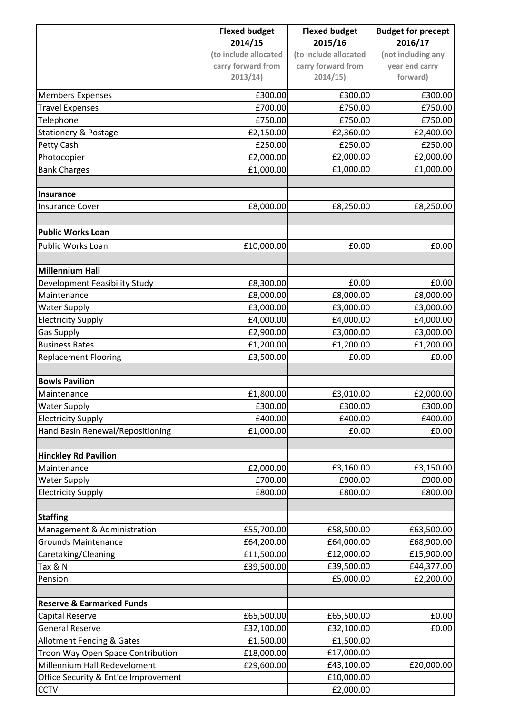|                                      | <b>Flexed budget</b>  | <b>Flexed budget</b>  | <b>Budget for precept</b> |
|--------------------------------------|-----------------------|-----------------------|---------------------------|
|                                      | 2014/15               | 2015/16               | 2016/17                   |
|                                      | (to include allocated | (to include allocated | (not including any        |
|                                      | carry forward from    | carry forward from    | year end carry            |
|                                      | 2013/14)              | 2014/15)              | forward)                  |
| <b>Members Expenses</b>              | £300.00               | £300.00               | £300.00                   |
| <b>Travel Expenses</b>               | £700.00               | £750.00               | £750.00                   |
| Telephone                            | £750.00               | £750.00               | £750.00                   |
| <b>Stationery &amp; Postage</b>      | £2,150.00             | £2,360.00             | £2,400.00                 |
| Petty Cash                           | £250.00               | £250.00               | £250.00                   |
| Photocopier                          | £2,000.00             | £2,000.00             | £2,000.00                 |
| <b>Bank Charges</b>                  | £1,000.00             | £1,000.00             | £1,000.00                 |
|                                      |                       |                       |                           |
| Insurance                            |                       |                       |                           |
| <b>Insurance Cover</b>               | £8,000.00             | £8,250.00             | £8,250.00                 |
|                                      |                       |                       |                           |
| <b>Public Works Loan</b>             |                       |                       |                           |
| Public Works Loan                    | £10,000.00            | £0.00                 | £0.00                     |
| Millennium Hall                      |                       |                       |                           |
| Development Feasibility Study        | £8,300.00             | £0.00                 | £0.00                     |
| Maintenance                          | £8,000.00             | £8,000.00             | £8,000.00                 |
| <b>Water Supply</b>                  | £3,000.00             | £3,000.00             | £3,000.00                 |
| <b>Electricity Supply</b>            | £4,000.00             | £4,000.00             | £4,000.00                 |
| <b>Gas Supply</b>                    | £2,900.00             | £3,000.00             | £3,000.00                 |
| <b>Business Rates</b>                | £1,200.00             | £1,200.00             | £1,200.00                 |
| <b>Replacement Flooring</b>          | £3,500.00             | £0.00                 | £0.00                     |
|                                      |                       |                       |                           |
| <b>Bowls Pavilion</b>                |                       |                       |                           |
| Maintenance                          | £1,800.00             | £3,010.00             | £2,000.00                 |
| <b>Water Supply</b>                  | £300.00               | £300.00               | £300.00                   |
| <b>Electricity Supply</b>            | £400.00               | £400.00               | £400.00                   |
| Hand Basin Renewal/Repositioning     | £1,000.00             | £0.00                 | £0.00                     |
|                                      |                       |                       |                           |
| <b>Hinckley Rd Pavilion</b>          |                       |                       |                           |
| Maintenance                          | £2,000.00             | £3,160.00             | £3,150.00                 |
| <b>Water Supply</b>                  | £700.00               | £900.00               | £900.00                   |
| <b>Electricity Supply</b>            | £800.00               | £800.00               | £800.00                   |
| <b>Staffing</b>                      |                       |                       |                           |
| Management & Administration          | £55,700.00            | £58,500.00            | £63,500.00                |
| <b>Grounds Maintenance</b>           | £64,200.00            | £64,000.00            | £68,900.00                |
| Caretaking/Cleaning                  | £11,500.00            | £12,000.00            | £15,900.00                |
| Tax & NI                             | £39,500.00            | £39,500.00            | £44,377.00                |
| Pension                              |                       | £5,000.00             | £2,200.00                 |
|                                      |                       |                       |                           |
| <b>Reserve &amp; Earmarked Funds</b> |                       |                       |                           |
| <b>Capital Reserve</b>               | £65,500.00            | £65,500.00            | £0.00                     |
| <b>General Reserve</b>               | £32,100.00            | £32,100.00            | £0.00                     |
| Allotment Fencing & Gates            | £1,500.00             | £1,500.00             |                           |
| Troon Way Open Space Contribution    | £18,000.00            | £17,000.00            |                           |
| Millennium Hall Redeveloment         | £29,600.00            | £43,100.00            | £20,000.00                |
| Office Security & Ent'ce Improvement |                       | £10,000.00            |                           |
| <b>CCTV</b>                          |                       | £2,000.00             |                           |